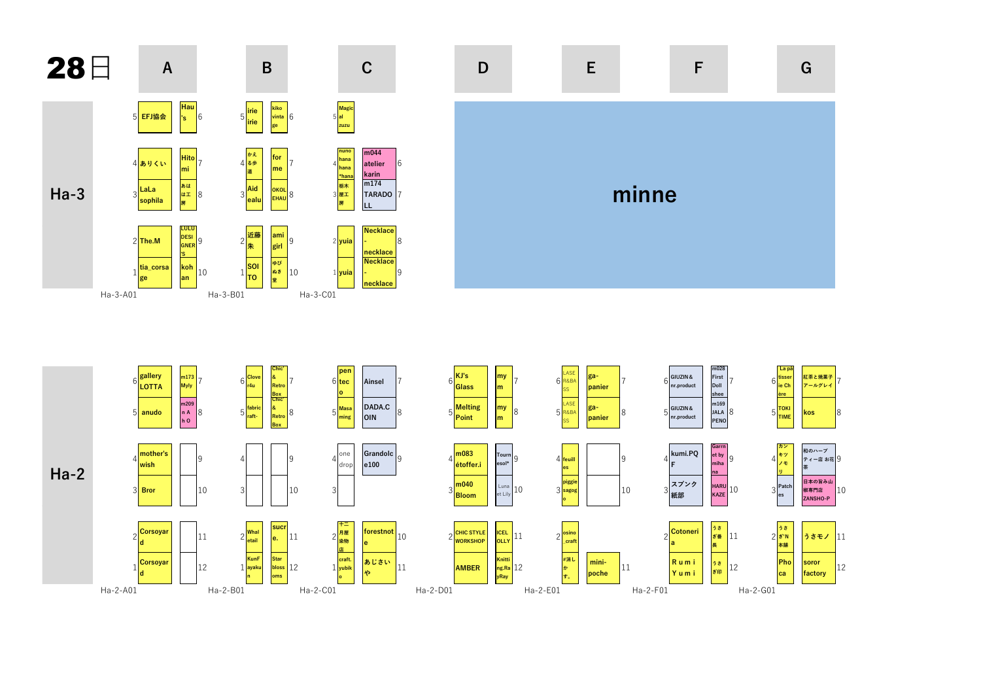





 $\mathsf F$